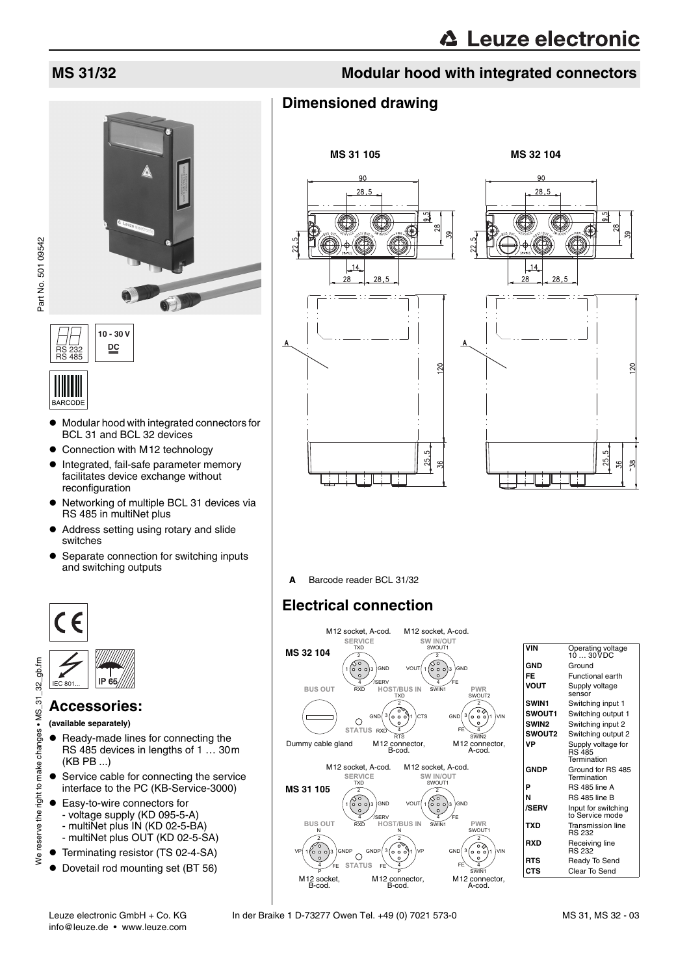

RS 232 RS 485 **10 - 30 V DC**

# **IIIIIIIIIIIII**

- $\bullet$  Modular hood with integrated connectors for BCL 31 and BCL 32 devices
- Connection with M12 technology
- $\bullet$  Integrated, fail-safe parameter memory facilitates device exchange without reconfiguration
- Networking of multiple BCL 31 devices via RS 485 in multiNet plus
- Address setting using rotary and slide switches
- Separate connection for switching inputs and switching outputs





### **Accessories:**

**(available separately)**

We reserve the right to make changes . MS

- Ready-made lines for connecting the RS 485 devices in lengths of 1 … 30m (KB PB ...)
- Service cable for connecting the service interface to the PC (KB-Service-3000)
- Easy-to-wire connectors for
	- voltage supply (KD 095-5-A)
	- multiNet plus IN (KD 02-5-BA)
	- multiNet plus OUT (KD 02-5-SA)
- Terminating resistor (TS 02-4-SA)
- Dovetail rod mounting set (BT 56)

# **MS 31/32 Modular hood with integrated connectors**

## **Dimensioned drawing**





**A** Barcode reader BCL 31/32

# **Electrical connection**



| VIN           | Operating voltage<br>10  30VDC                     |
|---------------|----------------------------------------------------|
| GND           | Ground                                             |
| FF            | <b>Functional earth</b>                            |
| VOUT          | Supply voltage<br>sensor                           |
| <b>SWIN1</b>  | Switching input 1                                  |
| <b>SWOUT1</b> | Switching output 1                                 |
| <b>SWIN2</b>  | Switching input 2                                  |
| <b>SWOUT2</b> | Switching output 2                                 |
| VP            | Supply voltage for<br><b>RS 485</b><br>Termination |
| GNDP          | Ground for RS 485<br>Termination                   |
| Þ             | <b>RS 485 line A</b>                               |
| N             | RS 485 line B                                      |
| <b>/SERV</b>  | Input for switching<br>to Service mode             |
| TXD           | <b>Transmission line</b><br><b>RS 232</b>          |
| RXD           | Receiving line<br><b>RS 232</b>                    |
| RTS           | Ready To Send                                      |
| CTS           | Clear To Send                                      |
|               |                                                    |

25.  $\frac{1}{2}$  $58$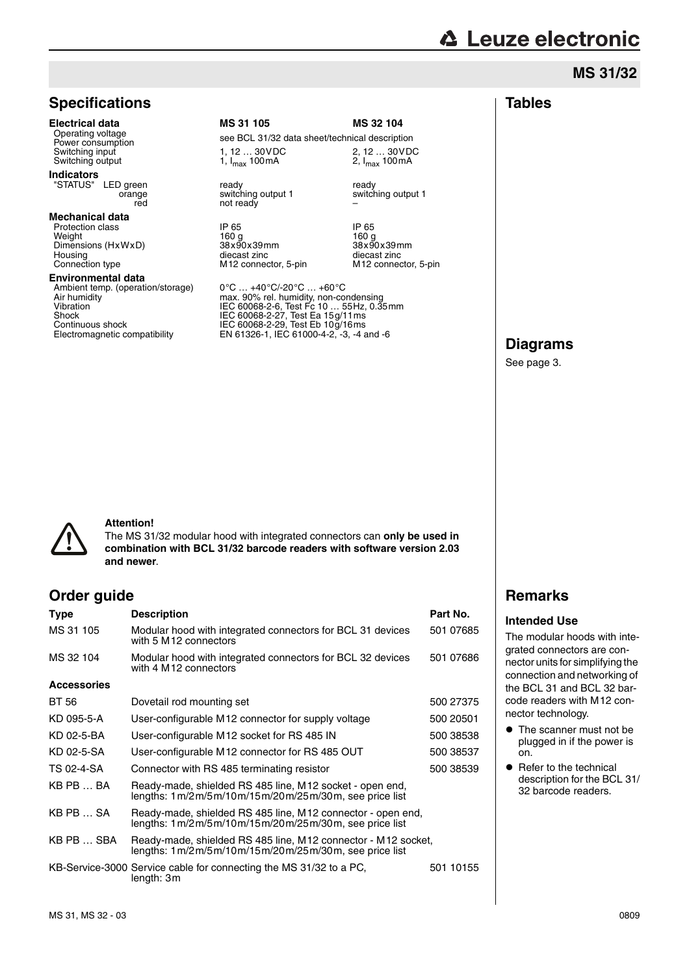# **△ Leuze electronic**

### **MS 31/32**

## **Specifications**

### **Indicators**

"STATUS" LED green orange red

### **Mechanical data**

Protection class The Contract of the Contract of the Contract of the Contract of the Protection class IP 65 IP 65 IP 65 IP 65 IP 65 IP 65 IP 65 IP 65 IP 65 IP 65 IP 65 IP 65 IP 65 IP 66 IP 66 IP 66 IP 66 IP 66 IP 66 IP 66 Weight 160 g 160 g Dimensions (HxWxD) 38x90x39mm 38x90x39mm 38x90x39mm<br>Housing diecast zinc diecast conditions diecast zinc Housing diecast zinc diecast zinc diecast zinc<br>
Connection type M12 connector, 5-pin M12 connector, 5-pin

### **Environmental data**

Ambient temp. (operation/storage)<br>Air humidity

**Electrical data MS 31 105 MS 32 104**<br>Operating voltage and a cose RCL 31/33 data chectrical description Operating voltage<br>
Power consumption<br>
Switching input see BCL 31/32 data sheet/technical description<br>
Switching input see BCL 31/32 data sheet/technical description Switching input 1, 12 … 30VDC 2, 12 … 30VDC<br>Switching input 1,  $I_{max}$  100mA 2,  $I_{max}$  100mA 1, 12  $\dots$  30 VDC<br>1, I<sub>max</sub> 100 mA

ready switching output 1

–

ready switching output 1 not ready

M12 connector, 5-pin

Air humidity max. 90% rel. humidity, non-condensing Vibration IEC 60068-2-6, Test Fc 10 … 55Hz, 0.35mm Shock IEC 60068-2-27, Test Ea 15g/11ms Continuous shock IEC 60068-2-29, Test Eb 10g/16ms Electromagnetic compatibility EN 61326-1, IEC 61000-4-2, -3, -4 and -6

# **Diagrams**

See page 3.



### **Attention!**

The MS 31/32 modular hood with integrated connectors can **only be used in combination with BCL 31/32 barcode readers with software version 2.03 and newer**.

### **Order guide**

| <b>Type</b>        | <b>Description</b>                                                                                                     | Part No.  |
|--------------------|------------------------------------------------------------------------------------------------------------------------|-----------|
| MS 31 105          | Modular hood with integrated connectors for BCL 31 devices<br>with 5 M 12 connectors                                   | 501 07685 |
| MS 32 104          | Modular hood with integrated connectors for BCL 32 devices<br>with 4 M12 connectors                                    | 501 07686 |
| <b>Accessories</b> |                                                                                                                        |           |
| BT 56              | Dovetail rod mounting set                                                                                              | 500 27375 |
| KD 095-5-A         | User-configurable M12 connector for supply voltage                                                                     | 500 20501 |
| KD 02-5-BA         | User-configurable M12 socket for RS 485 IN                                                                             | 500 38538 |
| KD 02-5-SA         | User-configurable M12 connector for RS 485 OUT                                                                         | 500 38537 |
| TS 02-4-SA         | Connector with RS 485 terminating resistor                                                                             | 500 38539 |
| KB PB  BA          | Ready-made, shielded RS 485 line, M12 socket - open end,<br>lengths: 1m/2m/5m/10m/15m/20m/25m/30m, see price list      |           |
| KB PB  SA          | Ready-made, shielded RS 485 line, M12 connector - open end,<br>lengths: 1m/2m/5m/10m/15m/20m/25m/30m, see price list   |           |
| KB PB  SBA         | Ready-made, shielded RS 485 line, M12 connector - M12 socket,<br>lengths: 1m/2m/5m/10m/15m/20m/25m/30m, see price list |           |
|                    | KB-Service-3000 Service cable for connecting the MS 31/32 to a PC,<br>length: 3m                                       | 501 10155 |
|                    |                                                                                                                        |           |

### **Remarks**

### **Intended Use**

The modular hoods with integrated connectors are connector units for simplifying the connection and networking of the BCL 31 and BCL 32 barcode readers with M12 connector technology.

- The scanner must not be plugged in if the power is on.
- $\bullet$  Refer to the technical description for the BCL 31/ 32 barcode readers.

# **Tables**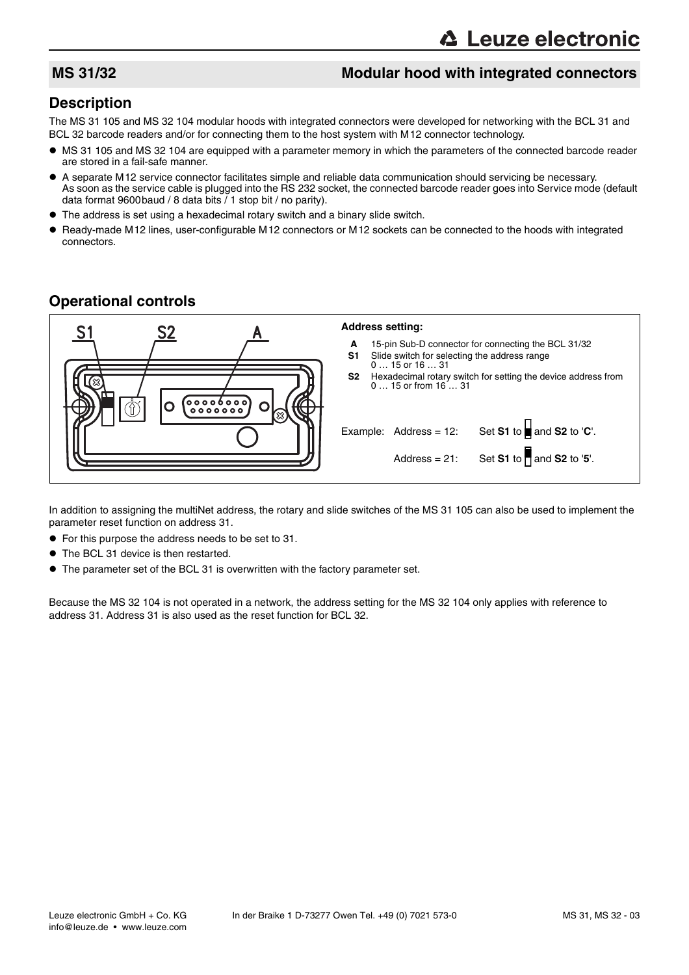### **MS 31/32** Modular hood with integrated connectors

### **Description**

The MS 31 105 and MS 32 104 modular hoods with integrated connectors were developed for networking with the BCL 31 and BCL 32 barcode readers and/or for connecting them to the host system with M12 connector technology.

- MS 31 105 and MS 32 104 are equipped with a parameter memory in which the parameters of the connected barcode reader are stored in a fail-safe manner.
- A separate M12 service connector facilitates simple and reliable data communication should servicing be necessary. As soon as the service cable is plugged into the RS 232 socket, the connected barcode reader goes into Service mode (default data format 9600baud / 8 data bits / 1 stop bit / no parity).
- The address is set using a hexadecimal rotary switch and a binary slide switch.
- Ready-made M12 lines, user-configurable M12 connectors or M12 sockets can be connected to the hoods with integrated connectors.

### **Operational controls**

|                                                                                                                     | <b>Address setting:</b>                                                                                                                                                                                                                                                                                                                                                    |
|---------------------------------------------------------------------------------------------------------------------|----------------------------------------------------------------------------------------------------------------------------------------------------------------------------------------------------------------------------------------------------------------------------------------------------------------------------------------------------------------------------|
| $\begin{bmatrix} 0 & 0 & 0 & 0 & 0 & 0 & 0 \\ 0 & 0 & 0 & 0 & 0 & 0 & 0 \\ 0 & 0 & 0 & 0 & 0 & 0 & 0 \end{bmatrix}$ | 15-pin Sub-D connector for connecting the BCL 31/32<br>A<br>S <sub>1</sub><br>Slide switch for selecting the address range<br>$015$ or $1631$<br>S2<br>Hexadecimal rotary switch for setting the device address from<br>0 15 or from 16  31<br>Set S1 to $\blacksquare$ and S2 to 'C'.<br>Example: Address = $12$ :<br>Set S1 to $\Box$ and S2 to '5'.<br>Address = $21$ : |
|                                                                                                                     |                                                                                                                                                                                                                                                                                                                                                                            |

In addition to assigning the multiNet address, the rotary and slide switches of the MS 31 105 can also be used to implement the parameter reset function on address 31.

- For this purpose the address needs to be set to 31.
- The BCL 31 device is then restarted.
- The parameter set of the BCL 31 is overwritten with the factory parameter set.

Because the MS 32 104 is not operated in a network, the address setting for the MS 32 104 only applies with reference to address 31. Address 31 is also used as the reset function for BCL 32.